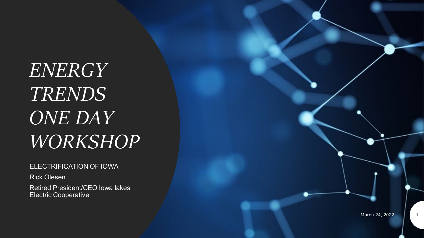*ENERGY TRENDS ONE DAY WORKSHOP*

#### ELECTRIFICATION OF IOWA

Rick Olesen

Retired President/CEO Iowa lakes Electric Cooperative

**1**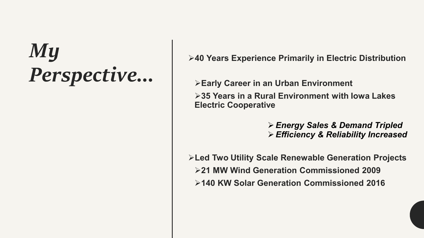#### *My Perspective…*

**40 Years Experience Primarily in Electric Distribution**

**Early Career in an Urban Environment 35 Years in a Rural Environment with Iowa Lakes Electric Cooperative**

> *Energy Sales & Demand Tripled Efficiency & Reliability Increased*

**Led Two Utility Scale Renewable Generation Projects 21 MW Wind Generation Commissioned 2009 140 KW Solar Generation Commissioned 2016**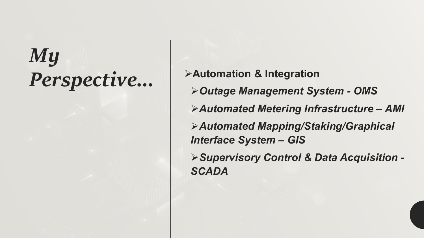# *My*

*Perspective…* **Automation & Integration** *Outage Management System - OMS Automated Metering Infrastructure – AMI Automated Mapping/Staking/Graphical Interface System – GIS Supervisory Control & Data Acquisition - SCADA*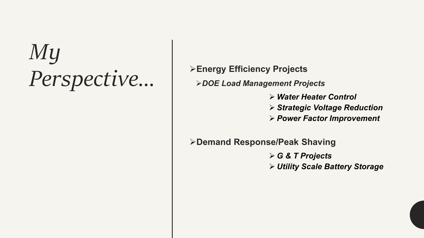### *My Perspective…* **Energy Efficiency Projects**

*DOE Load Management Projects*

- *Water Heater Control*
- *Strategic Voltage Reduction*
- *Power Factor Improvement*

**Demand Response/Peak Shaving**

 *G & T Projects Utility Scale Battery Storage*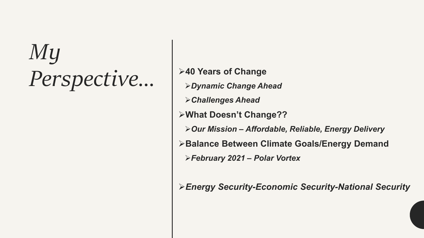## *My Perspective...*  $\left|\begin{array}{c} \rightarrow 40 \text{ Years of Change} \\ \rightarrow \text{Dynamic Change } A \text{ A} \end{array}\right|$

*Dynamic Change Ahead Challenges Ahead* **What Doesn't Change??** *Our Mission – Affordable, Reliable, Energy Delivery* **Balance Between Climate Goals/Energy Demand** *February 2021 – Polar Vortex*

*Energy Security-Economic Security-National Security*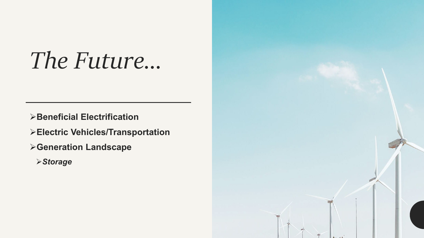#### *The Future…*

**Beneficial Electrification**

**Electric Vehicles/Transportation**

**Generation Landscape**

*Storage*